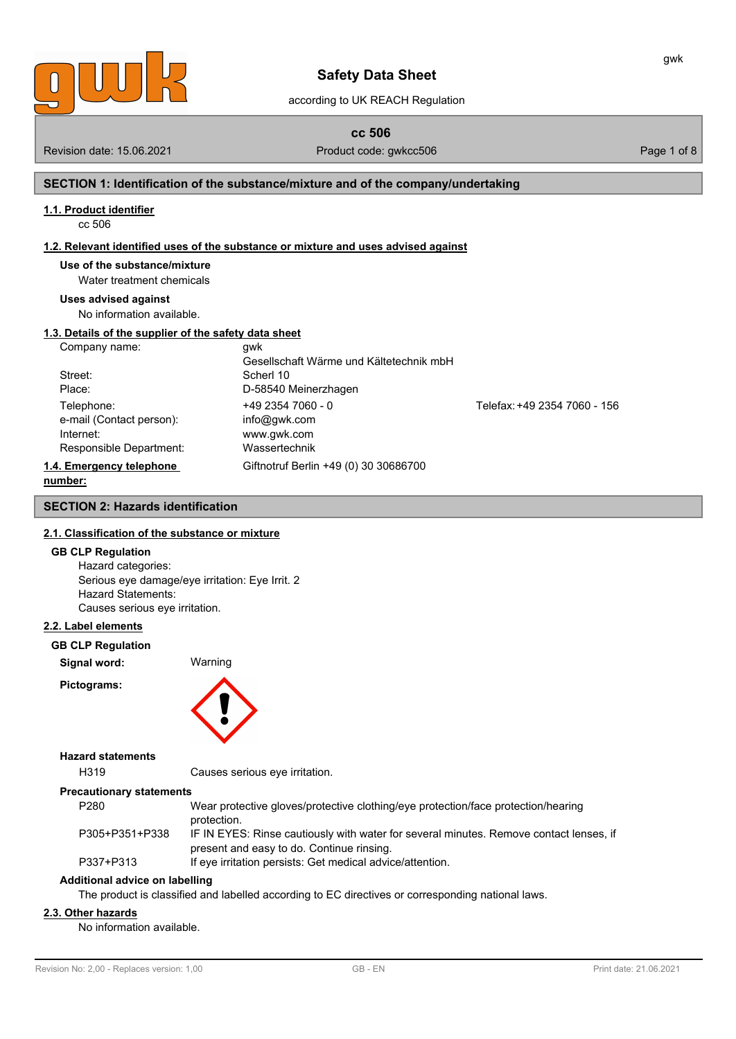

according to UK REACH Regulation

**cc 506**

Revision date: 15.06.2021 **Product code: gwkcc506** Page 1 of 8

gwk

# **SECTION 1: Identification of the substance/mixture and of the company/undertaking**

#### **1.1. Product identifier**

cc 506

#### **1.2. Relevant identified uses of the substance or mixture and uses advised against**

**Use of the substance/mixture**

Water treatment chemicals

#### **Uses advised against**

No information available.

# **1.3. Details of the supplier of the safety data sheet**

| Company name:            | awk                                     |                              |
|--------------------------|-----------------------------------------|------------------------------|
|                          | Gesellschaft Wärme und Kältetechnik mbH |                              |
| Street:                  | Scherl 10                               |                              |
| Place:                   | D-58540 Meinerzhagen                    |                              |
| Telephone:               | $+4923547060 - 0$                       | Telefax: +49 2354 7060 - 156 |
| e-mail (Contact person): | info@gwk.com                            |                              |
| Internet:                | www.gwk.com                             |                              |
| Responsible Department:  | Wassertechnik                           |                              |
| 1.4. Emergency telephone | Giftnotruf Berlin +49 (0) 30 30686700   |                              |
| number:                  |                                         |                              |

# **SECTION 2: Hazards identification**

## **2.1. Classification of the substance or mixture**

### **GB CLP Regulation**

Hazard categories: Serious eye damage/eye irritation: Eye Irrit. 2 Hazard Statements: Causes serious eye irritation.

#### **2.2. Label elements**

**GB CLP Regulation**

**Signal word:** Warning

**Pictograms:**



# **Hazard statements**

H319 Causes serious eye irritation.

#### **Precautionary statements**

| P280           | Wear protective gloves/protective clothing/eye protection/face protection/hearing      |
|----------------|----------------------------------------------------------------------------------------|
|                | protection.                                                                            |
| P305+P351+P338 | IF IN EYES: Rinse cautiously with water for several minutes. Remove contact lenses, if |
|                | present and easy to do. Continue rinsing.                                              |

P337+P313 If eye irritation persists: Get medical advice/attention.

# **Additional advice on labelling**

The product is classified and labelled according to EC directives or corresponding national laws.

# **2.3. Other hazards**

No information available.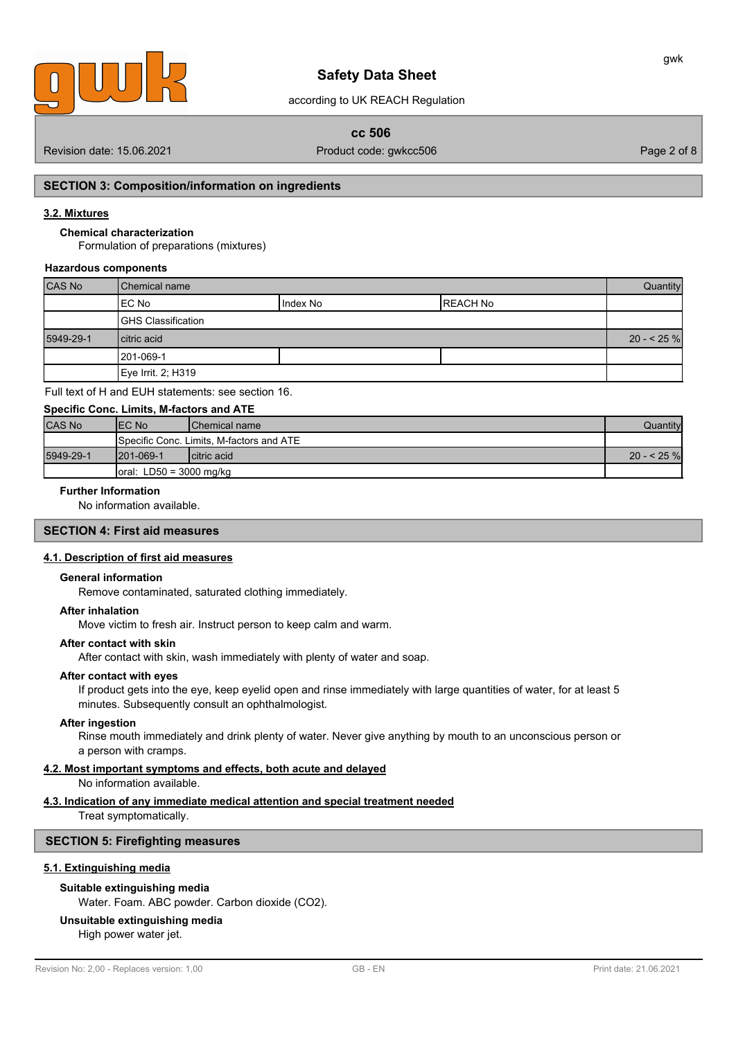

# according to UK REACH Regulation

# **cc 506**

Revision date: 15.06.2021 **Product code: gwkcc506** Page 2 of 8

# **SECTION 3: Composition/information on ingredients**

#### **3.2. Mixtures**

#### **Chemical characterization**

Formulation of preparations (mixtures)

#### **Hazardous components**

| <b>CAS No</b> | <b>I</b> Chemical name |          |                 | Quantity   |
|---------------|------------------------|----------|-----------------|------------|
|               | IEC No                 | Index No | <b>REACH No</b> |            |
|               | GHS Classification     |          |                 |            |
| 5949-29-1     | citric acid            |          |                 | $20 - 25%$ |
|               | 1201-069-1             |          |                 |            |
|               | Eye Irrit. 2; H319     |          |                 |            |

Full text of H and EUH statements: see section 16.

| Specific Conc. Limits, M-factors and ATE |                                                  |                                                   |          |  |
|------------------------------------------|--------------------------------------------------|---------------------------------------------------|----------|--|
| <b>CAS No</b>                            | IEC No                                           | <b>IChemical name</b>                             | Quantity |  |
|                                          |                                                  | <b>I</b> Specific Conc. Limits. M-factors and ATE |          |  |
| 5949-29-1                                | $1201 - 069 - 1$<br>Icitric acid<br>$20 - 525$ % |                                                   |          |  |
|                                          | $\vert$ oral: LD50 = 3000 mg/kg                  |                                                   |          |  |

# **Further Information**

No information available.

# **SECTION 4: First aid measures**

### **4.1. Description of first aid measures**

### **General information**

Remove contaminated, saturated clothing immediately.

### **After inhalation**

Move victim to fresh air. Instruct person to keep calm and warm.

#### **After contact with skin**

After contact with skin, wash immediately with plenty of water and soap.

#### **After contact with eyes**

If product gets into the eye, keep eyelid open and rinse immediately with large quantities of water, for at least 5 minutes. Subsequently consult an ophthalmologist.

## **After ingestion**

Rinse mouth immediately and drink plenty of water. Never give anything by mouth to an unconscious person or a person with cramps.

#### **4.2. Most important symptoms and effects, both acute and delayed**

No information available.

# **4.3. Indication of any immediate medical attention and special treatment needed**

Treat symptomatically.

# **SECTION 5: Firefighting measures**

# **5.1. Extinguishing media**

# **Suitable extinguishing media**

Water. Foam. ABC powder. Carbon dioxide (CO2).

# **Unsuitable extinguishing media**

High power water jet.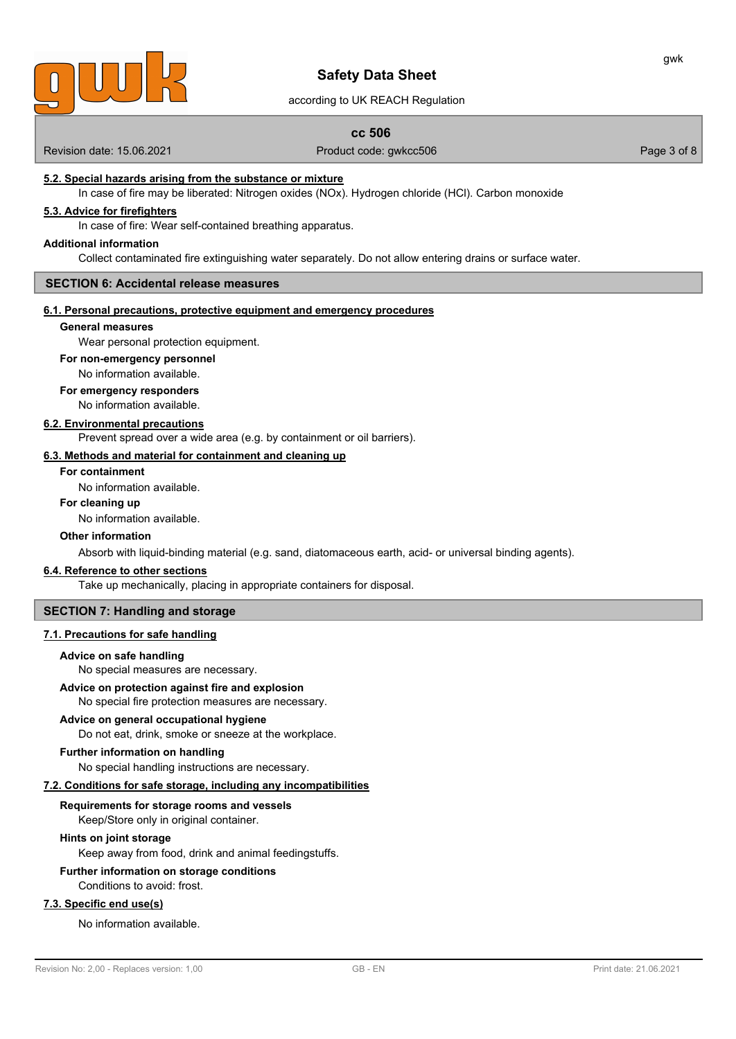

according to UK REACH Regulation

# **cc 506**

Revision date: 15.06.2021 **Product code: gwkcc506** Product code: gwkcc506 Page 3 of 8

# **5.2. Special hazards arising from the substance or mixture**

In case of fire may be liberated: Nitrogen oxides (NOx). Hydrogen chloride (HCl). Carbon monoxide

## **5.3. Advice for firefighters**

In case of fire: Wear self-contained breathing apparatus.

#### **Additional information**

Collect contaminated fire extinguishing water separately. Do not allow entering drains or surface water.

#### **SECTION 6: Accidental release measures**

#### **6.1. Personal precautions, protective equipment and emergency procedures**

# **General measures**

Wear personal protection equipment.

#### **For non-emergency personnel**

No information available.

# **For emergency responders**

No information available.

#### **6.2. Environmental precautions**

Prevent spread over a wide area (e.g. by containment or oil barriers).

# **6.3. Methods and material for containment and cleaning up**

# **For containment**

No information available.

# **For cleaning up**

No information available.

### **Other information**

Absorb with liquid-binding material (e.g. sand, diatomaceous earth, acid- or universal binding agents).

#### **6.4. Reference to other sections**

Take up mechanically, placing in appropriate containers for disposal.

# **SECTION 7: Handling and storage**

# **7.1. Precautions for safe handling**

#### **Advice on safe handling**

No special measures are necessary.

# **Advice on protection against fire and explosion**

No special fire protection measures are necessary.

# **Advice on general occupational hygiene**

Do not eat, drink, smoke or sneeze at the workplace.

# **Further information on handling**

No special handling instructions are necessary.

# **7.2. Conditions for safe storage, including any incompatibilities**

# **Requirements for storage rooms and vessels**

Keep/Store only in original container.

# **Hints on joint storage**

Keep away from food, drink and animal feedingstuffs.

# **Further information on storage conditions**

Conditions to avoid: frost.

# **7.3. Specific end use(s)**

No information available.

gwk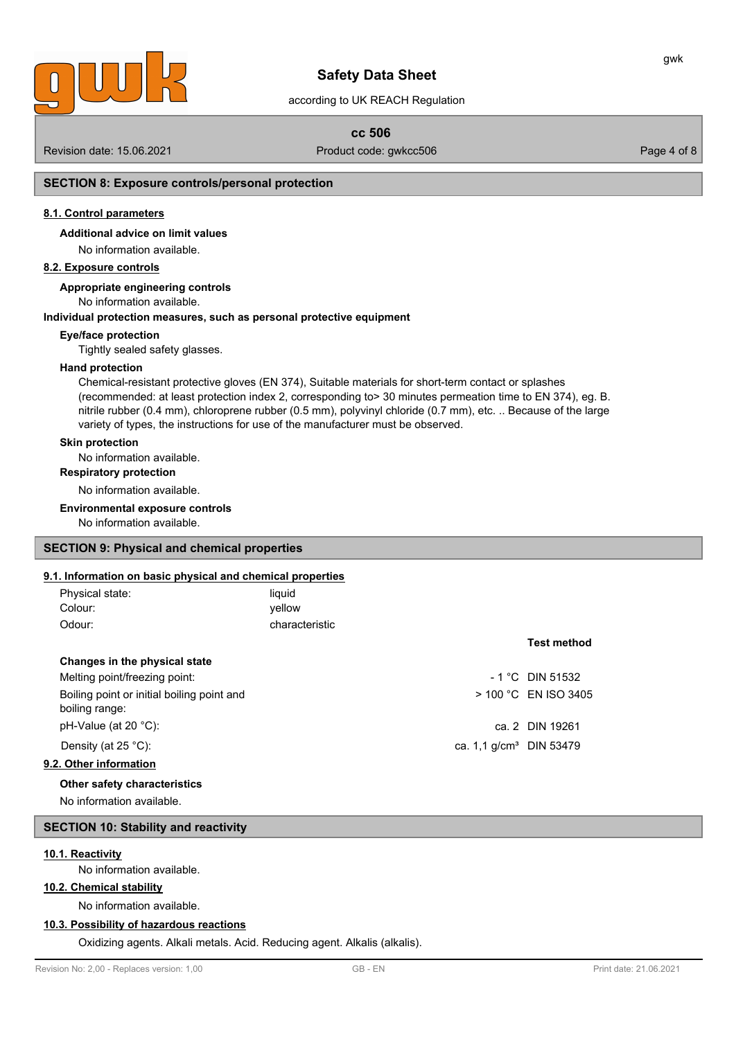

# according to UK REACH Regulation

# **cc 506**

Revision date: 15.06.2021 **Product code: gwkcc506** Page 4 of 8

# **SECTION 8: Exposure controls/personal protection**

# **8.1. Control parameters**

**Additional advice on limit values**

No information available.

# **8.2. Exposure controls**

**Appropriate engineering controls**

# No information available.

# **Individual protection measures, such as personal protective equipment**

# **Eye/face protection**

Tightly sealed safety glasses.

#### **Hand protection**

Chemical-resistant protective gloves (EN 374), Suitable materials for short-term contact or splashes (recommended: at least protection index 2, corresponding to> 30 minutes permeation time to EN 374), eg. B. nitrile rubber (0.4 mm), chloroprene rubber (0.5 mm), polyvinyl chloride (0.7 mm), etc. .. Because of the large variety of types, the instructions for use of the manufacturer must be observed.

#### **Skin protection**

No information available.

**Respiratory protection**

No information available.

#### **Environmental exposure controls**

No information available.

# **SECTION 9: Physical and chemical properties**

### **9.1. Information on basic physical and chemical properties**

| Physical state: | liquid         |
|-----------------|----------------|
| Colour:         | yellow         |
| Odour:          | characteristic |

| Changes in the physical state                                |                            |                        |
|--------------------------------------------------------------|----------------------------|------------------------|
| Melting point/freezing point:                                |                            | $-1$ °C DIN 51532      |
| Boiling point or initial boiling point and<br>boiling range: |                            | $>$ 100 °C EN ISO 3405 |
| $pH-Value$ (at 20 °C):                                       |                            | ca. 2 DIN 19261        |
| Density (at $25^{\circ}$ C):                                 | ca. 1.1 $q/cm^3$ DIN 53479 |                        |
| 9.2. Other information                                       |                            |                        |
| Other safety characteristics                                 |                            |                        |

No information available.

# **SECTION 10: Stability and reactivity**

#### **10.1. Reactivity**

No information available.

# **10.2. Chemical stability**

No information available.

# **10.3. Possibility of hazardous reactions**

Oxidizing agents. Alkali metals. Acid. Reducing agent. Alkalis (alkalis).

# **Test method**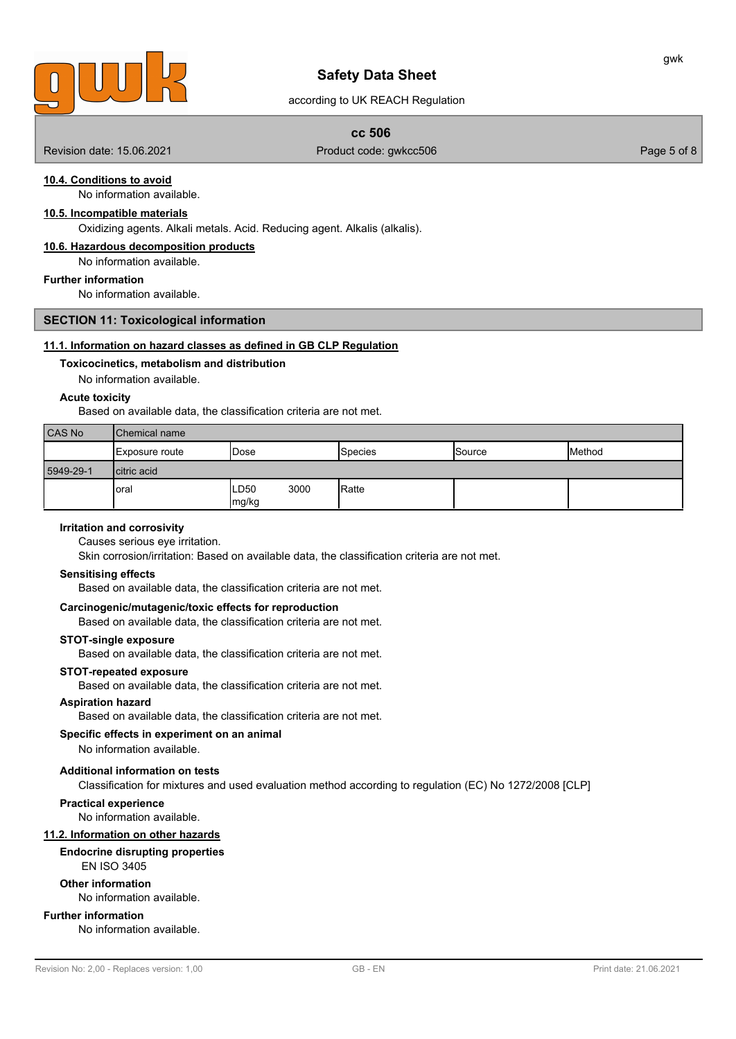

# according to UK REACH Regulation

# **cc 506**

Revision date: 15.06.2021 **Product code: gwkcc506** Page 5 of 8

# **10.4. Conditions to avoid**

No information available.

# **10.5. Incompatible materials**

Oxidizing agents. Alkali metals. Acid. Reducing agent. Alkalis (alkalis).

# **10.6. Hazardous decomposition products**

No information available.

#### **Further information**

No information available.

#### **SECTION 11: Toxicological information**

# **11.1. Information on hazard classes as defined in GB CLP Regulation**

#### **Toxicocinetics, metabolism and distribution**

No information available.

#### **Acute toxicity**

Based on available data, the classification criteria are not met.

| CAS No    | <b>Chemical name</b> |                       |         |               |                |
|-----------|----------------------|-----------------------|---------|---------------|----------------|
|           | ∣Exposure route      | 'Dose                 | Species | <b>Source</b> | <b>IMethod</b> |
| 5949-29-1 | Icitric acid         |                       |         |               |                |
|           | oral                 | 3000<br>LD50<br>mg/kg | Ratte   |               |                |

#### **Irritation and corrosivity**

Causes serious eye irritation.

Skin corrosion/irritation: Based on available data, the classification criteria are not met.

#### **Sensitising effects**

Based on available data, the classification criteria are not met.

# **Carcinogenic/mutagenic/toxic effects for reproduction**

Based on available data, the classification criteria are not met.

# **STOT-single exposure**

Based on available data, the classification criteria are not met.

#### **STOT-repeated exposure**

Based on available data, the classification criteria are not met.

## **Aspiration hazard**

Based on available data, the classification criteria are not met.

# **Specific effects in experiment on an animal**

No information available.

# **Additional information on tests**

Classification for mixtures and used evaluation method according to regulation (EC) No 1272/2008 [CLP]

#### **Practical experience**

No information available.

# **11.2. Information on other hazards**

# **Endocrine disrupting properties**

EN ISO 3405

#### **Other information**

No information available.

# **Further information**

No information available.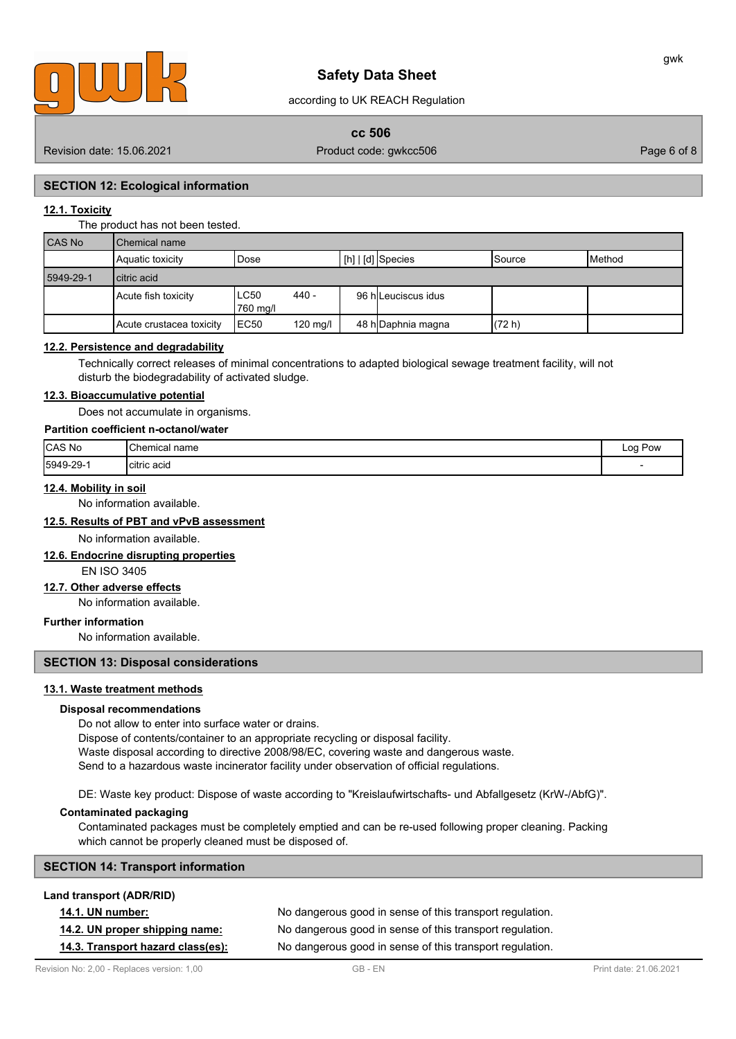

according to UK REACH Regulation

# **cc 506**

Revision date: 15.06.2021 **Product code: gwkcc506** Product code: gwkcc506 Page 6 of 8

# **SECTION 12: Ecological information**

# **12.1. Toxicity**

#### The product has not been tested.

| CAS No    | Chemical name            |                  |                    |                                               |         |                 |
|-----------|--------------------------|------------------|--------------------|-----------------------------------------------|---------|-----------------|
|           | Aquatic toxicity         | Dose             |                    | $\lfloor$ [h] $\rfloor$ [d] $\rfloor$ Species | ISource | <b>I</b> Method |
| 5949-29-1 | l citric acid            |                  |                    |                                               |         |                 |
|           | Acute fish toxicity      | LC50<br>760 ma/l | $440 -$            | 96 hlLeuciscus idus                           |         |                 |
|           | Acute crustacea toxicity | IEC50            | $120 \text{ mq/l}$ | 48 h Daphnia magna                            | (72 h)  |                 |

### **12.2. Persistence and degradability**

Technically correct releases of minimal concentrations to adapted biological sewage treatment facility, will not disturb the biodegradability of activated sludge.

# **12.3. Bioaccumulative potential**

Does not accumulate in organisms.

### **Partition coefficient n-octanol/water**

| CAS No    | Chemical name     | Pow<br>Log |
|-----------|-------------------|------------|
| 5949-29-1 | .<br>Icitric acid |            |

## **12.4. Mobility in soil**

No information available.

# **12.5. Results of PBT and vPvB assessment**

No information available.

# **12.6. Endocrine disrupting properties**

EN ISO 3405

# **12.7. Other adverse effects**

No information available.

# **Further information**

No information available.

# **SECTION 13: Disposal considerations**

# **13.1. Waste treatment methods**

#### **Disposal recommendations**

Do not allow to enter into surface water or drains.

Dispose of contents/container to an appropriate recycling or disposal facility. Waste disposal according to directive 2008/98/EC, covering waste and dangerous waste.

Send to a hazardous waste incinerator facility under observation of official regulations.

DE: Waste key product: Dispose of waste according to "Kreislaufwirtschafts- und Abfallgesetz (KrW-/AbfG)".

#### **Contaminated packaging**

Contaminated packages must be completely emptied and can be re-used following proper cleaning. Packing which cannot be properly cleaned must be disposed of.

# **SECTION 14: Transport information**

| <b>Lally dalisport (ADIVIND)</b>  |                                                          |
|-----------------------------------|----------------------------------------------------------|
| <b>14.1. UN number:</b>           | No dangerous good in sense of this transport regulation. |
| 14.2. UN proper shipping name:    | No dangerous good in sense of this transport regulation. |
| 14.3. Transport hazard class(es): | No dangerous good in sense of this transport regulation. |

**Land transport (ADR/RID)**

gwk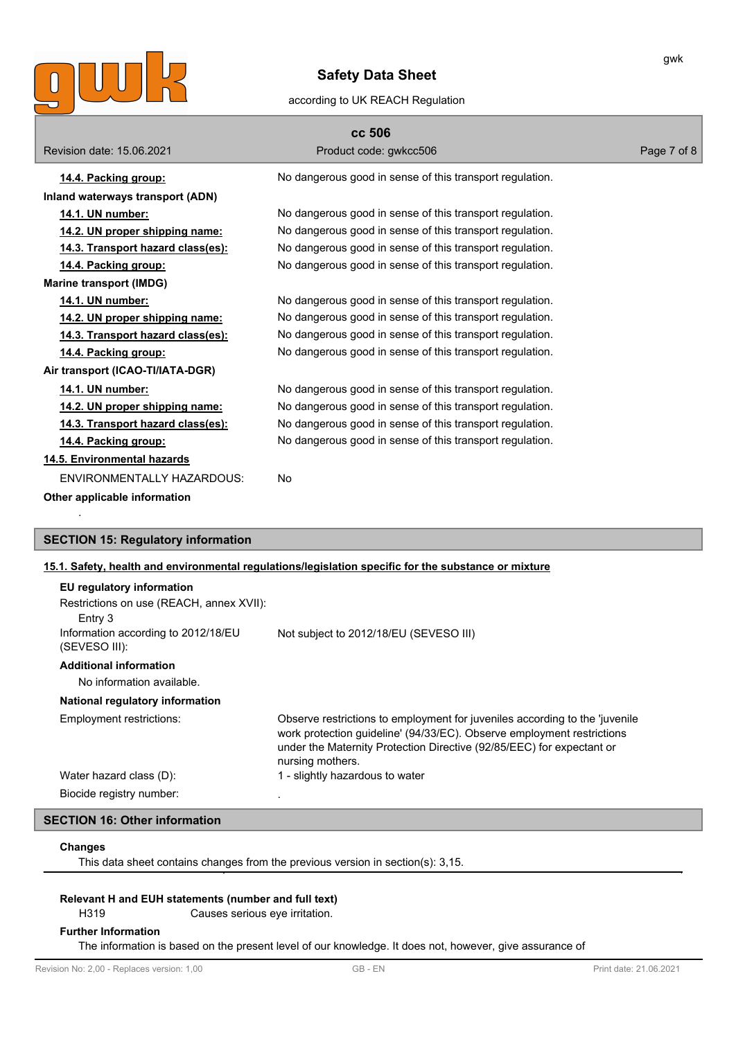

# according to UK REACH Regulation

|                                          | cc 506                                                   |             |
|------------------------------------------|----------------------------------------------------------|-------------|
| Revision date: 15.06.2021                | Product code: gwkcc506                                   | Page 7 of 8 |
| 14.4. Packing group:                     | No dangerous good in sense of this transport regulation. |             |
| Inland waterways transport (ADN)         |                                                          |             |
| 14.1. UN number:                         | No dangerous good in sense of this transport regulation. |             |
| 14.2. UN proper shipping name:           | No dangerous good in sense of this transport regulation. |             |
| <u>14.3. Transport hazard class(es):</u> | No dangerous good in sense of this transport regulation. |             |
| 14.4. Packing group:                     | No dangerous good in sense of this transport regulation. |             |
| <b>Marine transport (IMDG)</b>           |                                                          |             |
| 14.1. UN number:                         | No dangerous good in sense of this transport regulation. |             |
| <u>14.2. UN proper shipping name:</u>    | No dangerous good in sense of this transport regulation. |             |
| 14.3. Transport hazard class(es):        | No dangerous good in sense of this transport regulation. |             |
| <u>14.4. Packing group:</u>              | No dangerous good in sense of this transport regulation. |             |
| Air transport (ICAO-TI/IATA-DGR)         |                                                          |             |
| 14.1. UN number:                         | No dangerous good in sense of this transport regulation. |             |
| 14.2. UN proper shipping name:           | No dangerous good in sense of this transport regulation. |             |
| 14.3. Transport hazard class(es):        | No dangerous good in sense of this transport regulation. |             |
| 14.4. Packing group:                     | No dangerous good in sense of this transport regulation. |             |
| 14.5. Environmental hazards              |                                                          |             |
| ENVIRONMENTALLY HAZARDOUS:               | No                                                       |             |
| Other applicable information             |                                                          |             |
|                                          |                                                          |             |

# **SECTION 15: Regulatory information**

# **15.1. Safety, health and environmental regulations/legislation specific for the substance or mixture**

| Not subject to 2012/18/EU (SEVESO III)                                                                                                                                                                                                             |
|----------------------------------------------------------------------------------------------------------------------------------------------------------------------------------------------------------------------------------------------------|
|                                                                                                                                                                                                                                                    |
|                                                                                                                                                                                                                                                    |
| Observe restrictions to employment for juveniles according to the 'juvenile<br>work protection guideline' (94/33/EC). Observe employment restrictions<br>under the Maternity Protection Directive (92/85/EEC) for expectant or<br>nursing mothers. |
| I - slightly hazardous to water                                                                                                                                                                                                                    |
|                                                                                                                                                                                                                                                    |

# **SECTION 16: Other information**

#### **Changes**

This data sheet contains changes from the previous version in section(s): 3,15.

# **Relevant H and EUH statements (number and full text)**

H319 Causes serious eye irritation.

## **Further Information**

The information is based on the present level of our knowledge. It does not, however, give assurance of